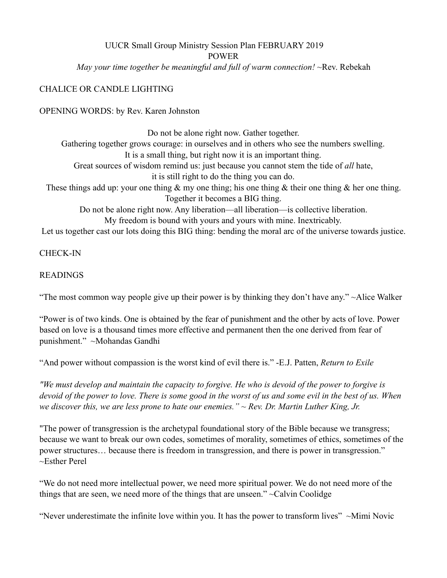## UUCR Small Group Ministry Session Plan FEBRUARY 2019 POWER *May your time together be meaningful and full of warm connection!* ~Rev. Rebekah

## CHALICE OR CANDLE LIGHTING

OPENING WORDS: by Rev. Karen Johnston

Do not be alone right now. Gather together. Gathering together grows courage: in ourselves and in others who see the numbers swelling. It is a small thing, but right now it is an important thing. Great sources of wisdom remind us: just because you cannot stem the tide of *all* hate, it is still right to do the thing you can do. These things add up: your one thing  $\&$  my one thing; his one thing  $\&$  their one thing  $\&$  her one thing. Together it becomes a BIG thing. Do not be alone right now. Any liberation—all liberation—is collective liberation. My freedom is bound with yours and yours with mine. Inextricably. Let us together cast our lots doing this BIG thing: bending the moral arc of the universe towards justice.

CHECK-IN

#### READINGS

"The most common way people give up their power is by thinking they don't have any." ~Alice Walker

"Power is of two kinds. One is obtained by the fear of punishment and the other by acts of love. Power based on love is a thousand times more effective and permanent then the one derived from fear of punishment." ~Mohandas Gandhi

"And power without compassion is the worst kind of evil there is." -E.J. Patten, *Return to Exile* 

*"We must develop and maintain the capacity to forgive. He who is devoid of the power to forgive is devoid of the power to love. There is some good in the worst of us and some evil in the best of us. When we discover this, we are less prone to hate our enemies." ~ Rev. Dr. Martin Luther King, Jr.* 

"The power of transgression is the archetypal foundational story of the Bible because we transgress; because we want to break our own codes, sometimes of morality, sometimes of ethics, sometimes of the power structures… because there is freedom in transgression, and there is power in transgression." ~Esther Perel

"We do not need more intellectual power, we need more spiritual power. We do not need more of the things that are seen, we need more of the things that are unseen." ~Calvin Coolidge

"Never underestimate the infinite love within you. It has the power to transform lives" ~Mimi Novic